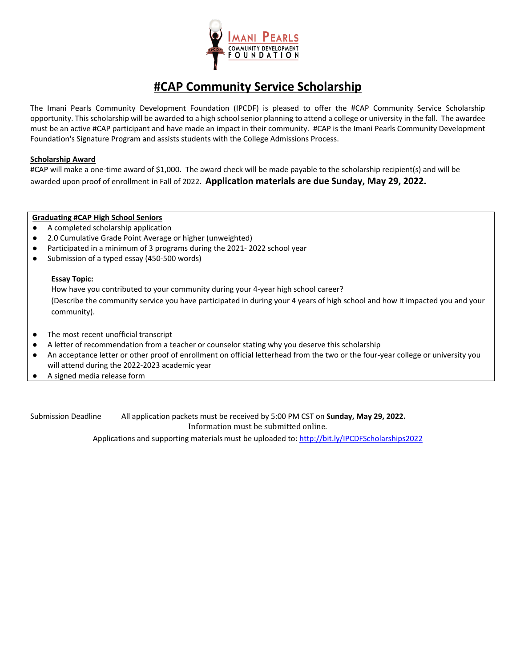

### **#CAP Community Service Scholarship**

The Imani Pearls Community Development Foundation (IPCDF) is pleased to offer the #CAP Community Service Scholarship opportunity. This scholarship will be awarded to a high school senior planning to attend a college or university in the fall. The awardee must be an active #CAP participant and have made an impact in their community. #CAP is the Imani Pearls Community Development Foundation's Signature Program and assists students with the College Admissions Process.

#### **Scholarship Award**

#CAP will make a one-time award of \$1,000. The award check will be made payable to the scholarship recipient(s) and will be awarded upon proof of enrollment in Fall of 2022. **Application materials are due Sunday, May 29, 2022.**

#### **Graduating #CAP High School Seniors**

- A completed scholarship application
- 2.0 Cumulative Grade Point Average or higher (unweighted)
- Participated in a minimum of 3 programs during the 2021- 2022 school year
- Submission of a typed essay (450-500 words)

#### **Essay Topic:**

How have you contributed to your community during your 4-year high school career? (Describe the community service you have participated in during your 4 years of high school and how it impacted you and your community).

- The most recent unofficial transcript
- A letter of recommendation from a teacher or counselor stating why you deserve this scholarship
- An acceptance letter or other proof of enrollment on official letterhead from the two or the four-year college or university you will attend during the 2022-2023 academic year
- A signed media release form

Submission Deadline All application packets must be received by 5:00 PM CST on **Sunday, May 29, 2022.** Information must be submitted online.

Applications and supporting materials must be uploaded to[: http://bit.ly/IPCDFScholarships2022](http://bit.ly/IPCDFScholarships2022)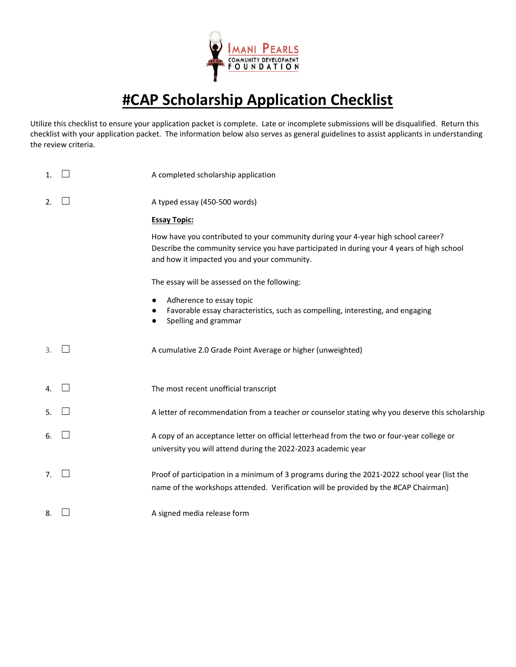

# **#CAP Scholarship Application Checklist**

Utilize this checklist to ensure your application packet is complete. Late or incomplete submissions will be disqualified. Return this checklist with your application packet. The information below also serves as general guidelines to assist applicants in understanding the review criteria.

| $\mathbf{1}$ . | A completed scholarship application                                                                                                                                                                                            |
|----------------|--------------------------------------------------------------------------------------------------------------------------------------------------------------------------------------------------------------------------------|
| 2.             | A typed essay (450-500 words)                                                                                                                                                                                                  |
|                | <b>Essay Topic:</b>                                                                                                                                                                                                            |
|                | How have you contributed to your community during your 4-year high school career?<br>Describe the community service you have participated in during your 4 years of high school<br>and how it impacted you and your community. |
|                | The essay will be assessed on the following:                                                                                                                                                                                   |
|                | Adherence to essay topic<br>Favorable essay characteristics, such as compelling, interesting, and engaging<br>Spelling and grammar                                                                                             |
| 3.             | A cumulative 2.0 Grade Point Average or higher (unweighted)                                                                                                                                                                    |
| 4.             | The most recent unofficial transcript                                                                                                                                                                                          |
| 5.             | A letter of recommendation from a teacher or counselor stating why you deserve this scholarship                                                                                                                                |
| 6.             | A copy of an acceptance letter on official letterhead from the two or four-year college or<br>university you will attend during the 2022-2023 academic year                                                                    |
| 7 <sub>1</sub> | Proof of participation in a minimum of 3 programs during the 2021-2022 school year (list the<br>name of the workshops attended. Verification will be provided by the #CAP Chairman)                                            |
| 8.             | A signed media release form                                                                                                                                                                                                    |